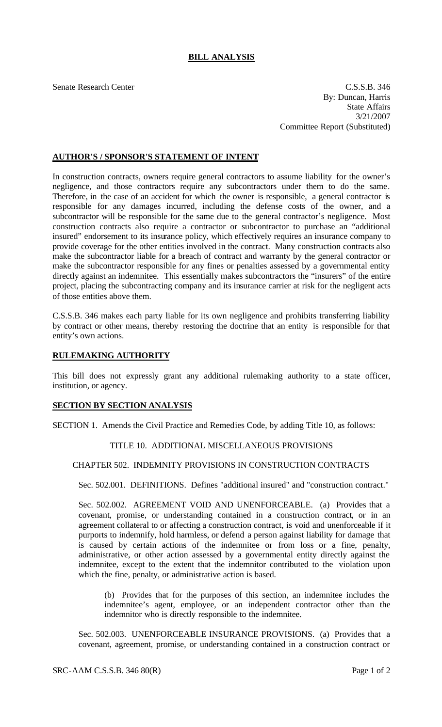# **BILL ANALYSIS**

Senate Research Center Cassets and C.S.S.B. 346 By: Duncan, Harris State Affairs 3/21/2007 Committee Report (Substituted)

# **AUTHOR'S / SPONSOR'S STATEMENT OF INTENT**

In construction contracts, owners require general contractors to assume liability for the owner's negligence, and those contractors require any subcontractors under them to do the same. Therefore, in the case of an accident for which the owner is responsible, a general contractor is responsible for any damages incurred, including the defense costs of the owner, and a subcontractor will be responsible for the same due to the general contractor's negligence. Most construction contracts also require a contractor or subcontractor to purchase an "additional insured" endorsement to its insurance policy, which effectively requires an insurance company to provide coverage for the other entities involved in the contract. Many construction contracts also make the subcontractor liable for a breach of contract and warranty by the general contractor or make the subcontractor responsible for any fines or penalties assessed by a governmental entity directly against an indemnitee. This essentially makes subcontractors the "insurers" of the entire project, placing the subcontracting company and its insurance carrier at risk for the negligent acts of those entities above them.

C.S.S.B. 346 makes each party liable for its own negligence and prohibits transferring liability by contract or other means, thereby restoring the doctrine that an entity is responsible for that entity's own actions.

## **RULEMAKING AUTHORITY**

This bill does not expressly grant any additional rulemaking authority to a state officer, institution, or agency.

#### **SECTION BY SECTION ANALYSIS**

SECTION 1. Amends the Civil Practice and Remedies Code, by adding Title 10, as follows:

## TITLE 10. ADDITIONAL MISCELLANEOUS PROVISIONS

#### CHAPTER 502. INDEMNITY PROVISIONS IN CONSTRUCTION CONTRACTS

Sec. 502.001. DEFINITIONS. Defines "additional insured" and "construction contract."

Sec. 502.002. AGREEMENT VOID AND UNENFORCEABLE. (a) Provides that a covenant, promise, or understanding contained in a construction contract, or in an agreement collateral to or affecting a construction contract, is void and unenforceable if it purports to indemnify, hold harmless, or defend a person against liability for damage that is caused by certain actions of the indemnitee or from loss or a fine, penalty, administrative, or other action assessed by a governmental entity directly against the indemnitee, except to the extent that the indemnitor contributed to the violation upon which the fine, penalty, or administrative action is based.

(b) Provides that for the purposes of this section, an indemnitee includes the indemnitee's agent, employee, or an independent contractor other than the indemnitor who is directly responsible to the indemnitee.

Sec. 502.003. UNENFORCEABLE INSURANCE PROVISIONS. (a) Provides that a covenant, agreement, promise, or understanding contained in a construction contract or